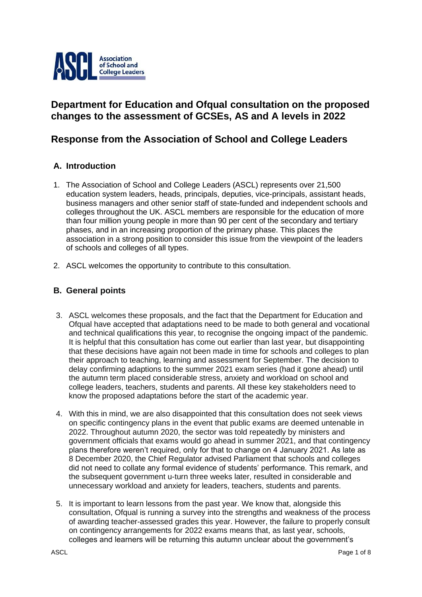

# **Department for Education and Ofqual consultation on the proposed changes to the assessment of GCSEs, AS and A levels in 2022**

# **Response from the Association of School and College Leaders**

# **A. Introduction**

- 1. The Association of School and College Leaders (ASCL) represents over 21,500 education system leaders, heads, principals, deputies, vice-principals, assistant heads, business managers and other senior staff of state-funded and independent schools and colleges throughout the UK. ASCL members are responsible for the education of more than four million young people in more than 90 per cent of the secondary and tertiary phases, and in an increasing proportion of the primary phase. This places the association in a strong position to consider this issue from the viewpoint of the leaders of schools and colleges of all types.
- 2. ASCL welcomes the opportunity to contribute to this consultation.

## **B. General points**

- 3. ASCL welcomes these proposals, and the fact that the Department for Education and Ofqual have accepted that adaptations need to be made to both general and vocational and technical qualifications this year, to recognise the ongoing impact of the pandemic. It is helpful that this consultation has come out earlier than last year, but disappointing that these decisions have again not been made in time for schools and colleges to plan their approach to teaching, learning and assessment for September. The decision to delay confirming adaptions to the summer 2021 exam series (had it gone ahead) until the autumn term placed considerable stress, anxiety and workload on school and college leaders, teachers, students and parents. All these key stakeholders need to know the proposed adaptations before the start of the academic year.
- 4. With this in mind, we are also disappointed that this consultation does not seek views on specific contingency plans in the event that public exams are deemed untenable in 2022. Throughout autumn 2020, the sector was told repeatedly by ministers and government officials that exams would go ahead in summer 2021, and that contingency plans therefore weren't required, only for that to change on 4 January 2021. As late as 8 December 2020, the Chief Regulator advised Parliament that schools and colleges did not need to collate any formal evidence of students' performance. This remark, and the subsequent government u-turn three weeks later, resulted in considerable and unnecessary workload and anxiety for leaders, teachers, students and parents.
- 5. It is important to learn lessons from the past year. We know that, alongside this consultation, Ofqual is running a survey into the strengths and weakness of the process of awarding teacher-assessed grades this year. However, the failure to properly consult on contingency arrangements for 2022 exams means that, as last year, schools, colleges and learners will be returning this autumn unclear about the government's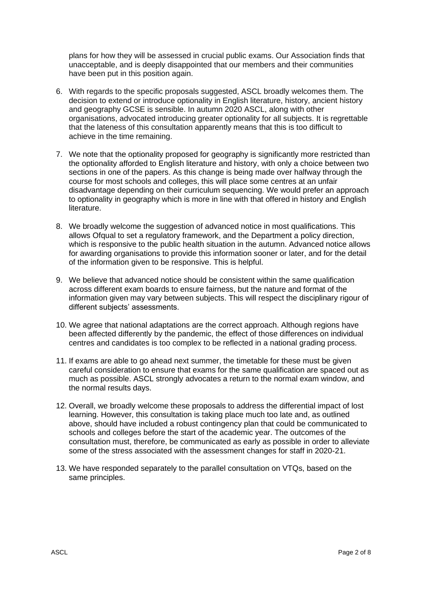plans for how they will be assessed in crucial public exams. Our Association finds that unacceptable, and is deeply disappointed that our members and their communities have been put in this position again.

- 6. With regards to the specific proposals suggested, ASCL broadly welcomes them. The decision to extend or introduce optionality in English literature, history, ancient history and geography GCSE is sensible. In autumn 2020 ASCL, along with other organisations, advocated introducing greater optionality for all subjects. It is regrettable that the lateness of this consultation apparently means that this is too difficult to achieve in the time remaining.
- 7. We note that the optionality proposed for geography is significantly more restricted than the optionality afforded to English literature and history, with only a choice between two sections in one of the papers. As this change is being made over halfway through the course for most schools and colleges, this will place some centres at an unfair disadvantage depending on their curriculum sequencing. We would prefer an approach to optionality in geography which is more in line with that offered in history and English literature.
- 8. We broadly welcome the suggestion of advanced notice in most qualifications. This allows Ofqual to set a regulatory framework, and the Department a policy direction, which is responsive to the public health situation in the autumn. Advanced notice allows for awarding organisations to provide this information sooner or later, and for the detail of the information given to be responsive. This is helpful.
- 9. We believe that advanced notice should be consistent within the same qualification across different exam boards to ensure fairness, but the nature and format of the information given may vary between subjects. This will respect the disciplinary rigour of different subjects' assessments.
- 10. We agree that national adaptations are the correct approach. Although regions have been affected differently by the pandemic, the effect of those differences on individual centres and candidates is too complex to be reflected in a national grading process.
- 11. If exams are able to go ahead next summer, the timetable for these must be given careful consideration to ensure that exams for the same qualification are spaced out as much as possible. ASCL strongly advocates a return to the normal exam window, and the normal results days.
- 12. Overall, we broadly welcome these proposals to address the differential impact of lost learning. However, this consultation is taking place much too late and, as outlined above, should have included a robust contingency plan that could be communicated to schools and colleges before the start of the academic year. The outcomes of the consultation must, therefore, be communicated as early as possible in order to alleviate some of the stress associated with the assessment changes for staff in 2020-21.
- 13. We have responded separately to the parallel consultation on VTQs, based on the same principles.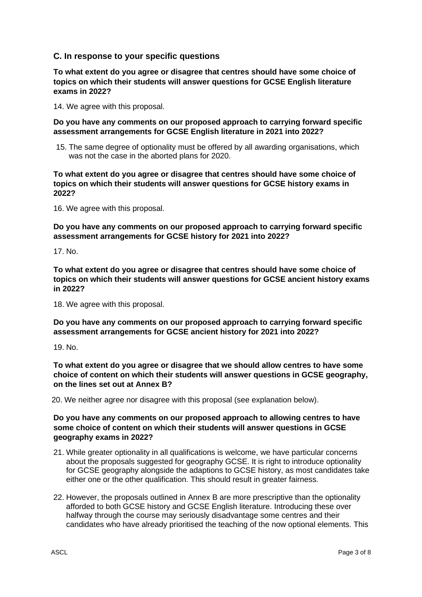## **C. In response to your specific questions**

**To what extent do you agree or disagree that centres should have some choice of topics on which their students will answer questions for GCSE English literature exams in 2022?**

14. We agree with this proposal.

**Do you have any comments on our proposed approach to carrying forward specific assessment arrangements for GCSE English literature in 2021 into 2022?**

15. The same degree of optionality must be offered by all awarding organisations, which was not the case in the aborted plans for 2020.

#### **To what extent do you agree or disagree that centres should have some choice of topics on which their students will answer questions for GCSE history exams in 2022?**

16. We agree with this proposal.

**Do you have any comments on our proposed approach to carrying forward specific assessment arrangements for GCSE history for 2021 into 2022?**

17. No.

**To what extent do you agree or disagree that centres should have some choice of topics on which their students will answer questions for GCSE ancient history exams in 2022?**

18. We agree with this proposal.

**Do you have any comments on our proposed approach to carrying forward specific assessment arrangements for GCSE ancient history for 2021 into 2022?**

19. No.

**To what extent do you agree or disagree that we should allow centres to have some choice of content on which their students will answer questions in GCSE geography, on the lines set out at Annex B?**

20. We neither agree nor disagree with this proposal (see explanation below).

#### **Do you have any comments on our proposed approach to allowing centres to have some choice of content on which their students will answer questions in GCSE geography exams in 2022?**

- 21. While greater optionality in all qualifications is welcome, we have particular concerns about the proposals suggested for geography GCSE. It is right to introduce optionality for GCSE geography alongside the adaptions to GCSE history, as most candidates take either one or the other qualification. This should result in greater fairness.
- 22. However, the proposals outlined in Annex B are more prescriptive than the optionality afforded to both GCSE history and GCSE English literature. Introducing these over halfway through the course may seriously disadvantage some centres and their candidates who have already prioritised the teaching of the now optional elements. This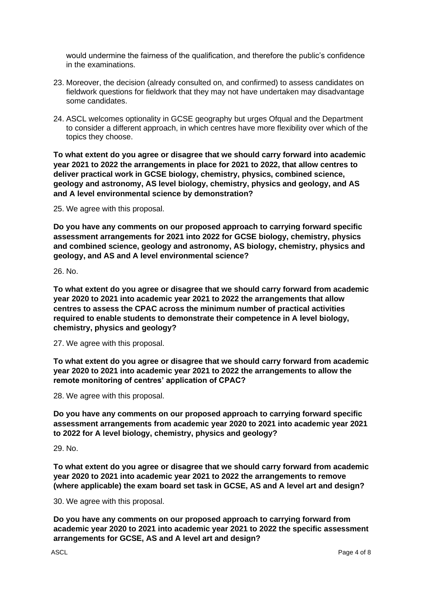would undermine the fairness of the qualification, and therefore the public's confidence in the examinations.

- 23. Moreover, the decision (already consulted on, and confirmed) to assess candidates on fieldwork questions for fieldwork that they may not have undertaken may disadvantage some candidates.
- 24. ASCL welcomes optionality in GCSE geography but urges Ofqual and the Department to consider a different approach, in which centres have more flexibility over which of the topics they choose.

**To what extent do you agree or disagree that we should carry forward into academic year 2021 to 2022 the arrangements in place for 2021 to 2022, that allow centres to deliver practical work in GCSE biology, chemistry, physics, combined science, geology and astronomy, AS level biology, chemistry, physics and geology, and AS and A level environmental science by demonstration?**

25. We agree with this proposal.

**Do you have any comments on our proposed approach to carrying forward specific assessment arrangements for 2021 into 2022 for GCSE biology, chemistry, physics and combined science, geology and astronomy, AS biology, chemistry, physics and geology, and AS and A level environmental science?**

26. No.

**To what extent do you agree or disagree that we should carry forward from academic year 2020 to 2021 into academic year 2021 to 2022 the arrangements that allow centres to assess the CPAC across the minimum number of practical activities required to enable students to demonstrate their competence in A level biology, chemistry, physics and geology?**

27. We agree with this proposal.

**To what extent do you agree or disagree that we should carry forward from academic year 2020 to 2021 into academic year 2021 to 2022 the arrangements to allow the remote monitoring of centres' application of CPAC?**

28. We agree with this proposal.

**Do you have any comments on our proposed approach to carrying forward specific assessment arrangements from academic year 2020 to 2021 into academic year 2021 to 2022 for A level biology, chemistry, physics and geology?**

29. No.

**To what extent do you agree or disagree that we should carry forward from academic year 2020 to 2021 into academic year 2021 to 2022 the arrangements to remove (where applicable) the exam board set task in GCSE, AS and A level art and design?**

30. We agree with this proposal.

**Do you have any comments on our proposed approach to carrying forward from academic year 2020 to 2021 into academic year 2021 to 2022 the specific assessment arrangements for GCSE, AS and A level art and design?**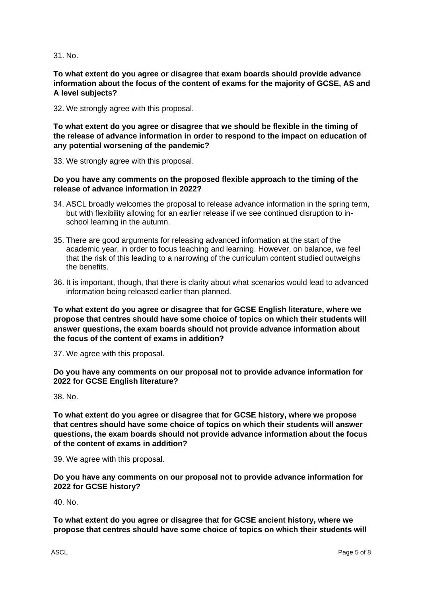31. No.

**To what extent do you agree or disagree that exam boards should provide advance information about the focus of the content of exams for the majority of GCSE, AS and A level subjects?**

32. We strongly agree with this proposal.

**To what extent do you agree or disagree that we should be flexible in the timing of the release of advance information in order to respond to the impact on education of any potential worsening of the pandemic?**

33. We strongly agree with this proposal.

**Do you have any comments on the proposed flexible approach to the timing of the release of advance information in 2022?**

- 34. ASCL broadly welcomes the proposal to release advance information in the spring term, but with flexibility allowing for an earlier release if we see continued disruption to inschool learning in the autumn.
- 35. There are good arguments for releasing advanced information at the start of the academic year, in order to focus teaching and learning. However, on balance, we feel that the risk of this leading to a narrowing of the curriculum content studied outweighs the benefits.
- 36. It is important, though, that there is clarity about what scenarios would lead to advanced information being released earlier than planned.

**To what extent do you agree or disagree that for GCSE English literature, where we propose that centres should have some choice of topics on which their students will answer questions, the exam boards should not provide advance information about the focus of the content of exams in addition?**

37. We agree with this proposal.

**Do you have any comments on our proposal not to provide advance information for 2022 for GCSE English literature?**

38. No.

**To what extent do you agree or disagree that for GCSE history, where we propose that centres should have some choice of topics on which their students will answer questions, the exam boards should not provide advance information about the focus of the content of exams in addition?**

39. We agree with this proposal.

**Do you have any comments on our proposal not to provide advance information for 2022 for GCSE history?**

40. No.

**To what extent do you agree or disagree that for GCSE ancient history, where we propose that centres should have some choice of topics on which their students will**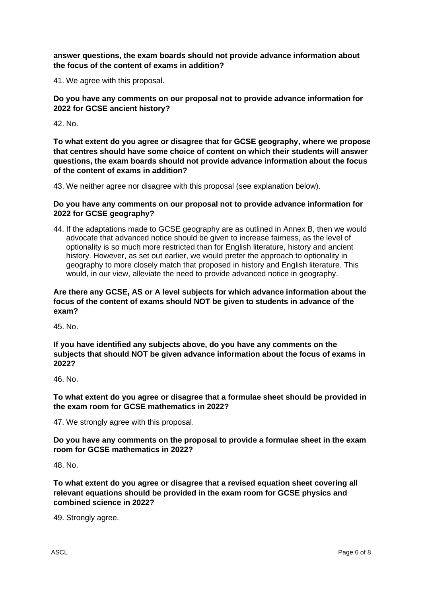**answer questions, the exam boards should not provide advance information about the focus of the content of exams in addition?**

41. We agree with this proposal.

**Do you have any comments on our proposal not to provide advance information for 2022 for GCSE ancient history?**

42. No.

**To what extent do you agree or disagree that for GCSE geography, where we propose that centres should have some choice of content on which their students will answer questions, the exam boards should not provide advance information about the focus of the content of exams in addition?**

43. We neither agree nor disagree with this proposal (see explanation below).

#### **Do you have any comments on our proposal not to provide advance information for 2022 for GCSE geography?**

44. If the adaptations made to GCSE geography are as outlined in Annex B, then we would advocate that advanced notice should be given to increase fairness, as the level of optionality is so much more restricted than for English literature, history and ancient history. However, as set out earlier, we would prefer the approach to optionality in geography to more closely match that proposed in history and English literature. This would, in our view, alleviate the need to provide advanced notice in geography.

### **Are there any GCSE, AS or A level subjects for which advance information about the focus of the content of exams should NOT be given to students in advance of the exam?**

45. No.

**If you have identified any subjects above, do you have any comments on the subjects that should NOT be given advance information about the focus of exams in 2022?**

46. No.

**To what extent do you agree or disagree that a formulae sheet should be provided in the exam room for GCSE mathematics in 2022?**

47. We strongly agree with this proposal.

**Do you have any comments on the proposal to provide a formulae sheet in the exam room for GCSE mathematics in 2022?**

48. No.

**To what extent do you agree or disagree that a revised equation sheet covering all relevant equations should be provided in the exam room for GCSE physics and combined science in 2022?**

49. Strongly agree.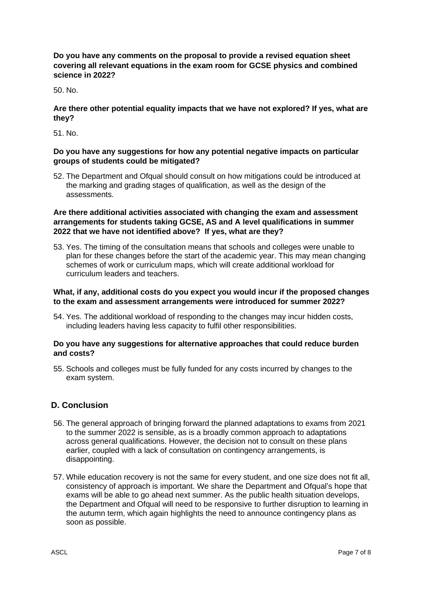### **Do you have any comments on the proposal to provide a revised equation sheet covering all relevant equations in the exam room for GCSE physics and combined science in 2022?**

50. No.

### **Are there other potential equality impacts that we have not explored? If yes, what are they?**

51. No.

### **Do you have any suggestions for how any potential negative impacts on particular groups of students could be mitigated?**

52. The Department and Ofqual should consult on how mitigations could be introduced at the marking and grading stages of qualification, as well as the design of the assessments.

## **Are there additional activities associated with changing the exam and assessment arrangements for students taking GCSE, AS and A level qualifications in summer 2022 that we have not identified above? If yes, what are they?**

53. Yes. The timing of the consultation means that schools and colleges were unable to plan for these changes before the start of the academic year. This may mean changing schemes of work or curriculum maps, which will create additional workload for curriculum leaders and teachers.

### **What, if any, additional costs do you expect you would incur if the proposed changes to the exam and assessment arrangements were introduced for summer 2022?**

54. Yes. The additional workload of responding to the changes may incur hidden costs, including leaders having less capacity to fulfil other responsibilities.

### **Do you have any suggestions for alternative approaches that could reduce burden and costs?**

55. Schools and colleges must be fully funded for any costs incurred by changes to the exam system.

## **D. Conclusion**

- 56. The general approach of bringing forward the planned adaptations to exams from 2021 to the summer 2022 is sensible, as is a broadly common approach to adaptations across general qualifications. However, the decision not to consult on these plans earlier, coupled with a lack of consultation on contingency arrangements, is disappointing.
- 57. While education recovery is not the same for every student, and one size does not fit all, consistency of approach is important. We share the Department and Ofqual's hope that exams will be able to go ahead next summer. As the public health situation develops, the Department and Ofqual will need to be responsive to further disruption to learning in the autumn term, which again highlights the need to announce contingency plans as soon as possible.